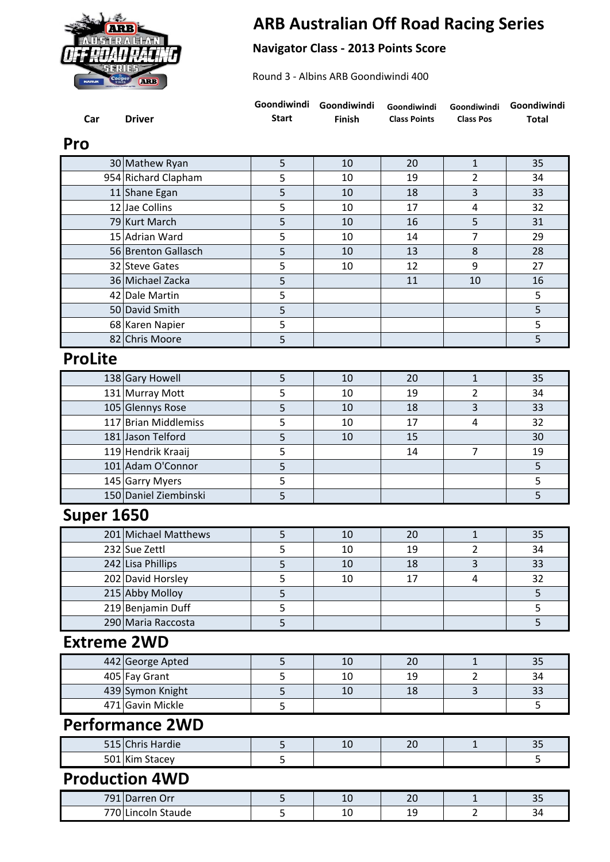

## **ARB Australian Off Road Racing Series**

## **Navigator Class - 2013 Points Score**

Round 3 - Albins ARB Goondiwindi 400

| Car                    | <b>Driver</b>         | Goondiwindi<br><b>Start</b> | Goondiwindi<br><b>Finish</b> | Goondiwindi<br><b>Class Points</b> | Goondiwindi<br><b>Class Pos</b> | Goondiwindi<br><b>Total</b> |  |  |
|------------------------|-----------------------|-----------------------------|------------------------------|------------------------------------|---------------------------------|-----------------------------|--|--|
| Pro                    |                       |                             |                              |                                    |                                 |                             |  |  |
|                        | 30 Mathew Ryan        | 5                           | 10                           | 20                                 | $\mathbf{1}$                    | 35                          |  |  |
|                        | 954 Richard Clapham   | 5                           | 10                           | 19                                 | 2                               | 34                          |  |  |
|                        | 11 Shane Egan         | 5                           | 10                           | 18                                 | 3                               | 33                          |  |  |
|                        | 12 Jae Collins        | 5                           | 10                           | 17                                 | 4                               | 32                          |  |  |
|                        | 79 Kurt March         | 5                           | 10                           | 16                                 | 5                               | 31                          |  |  |
|                        | 15 Adrian Ward        | 5                           | 10                           | 14                                 | 7                               | 29                          |  |  |
|                        | 56 Brenton Gallasch   | 5                           | 10                           | 13                                 | 8                               | 28                          |  |  |
|                        | 32 Steve Gates        | 5                           | 10                           | 12                                 | 9                               | 27                          |  |  |
|                        | 36 Michael Zacka      | 5                           |                              | 11                                 | 10                              | 16                          |  |  |
|                        | 42 Dale Martin        | 5                           |                              |                                    |                                 | 5                           |  |  |
|                        | 50 David Smith        | 5                           |                              |                                    |                                 | 5                           |  |  |
|                        | 68 Karen Napier       | 5                           |                              |                                    |                                 | 5                           |  |  |
|                        | 82 Chris Moore        | 5                           |                              |                                    |                                 | 5                           |  |  |
| <b>ProLite</b>         |                       |                             |                              |                                    |                                 |                             |  |  |
|                        | 138 Gary Howell       | 5                           | 10                           | 20                                 | $\mathbf{1}$                    | 35                          |  |  |
|                        | 131 Murray Mott       | 5                           | 10                           | 19                                 | 2                               | 34                          |  |  |
|                        | 105 Glennys Rose      | 5                           | 10                           | 18                                 | 3                               | 33                          |  |  |
|                        | 117 Brian Middlemiss  | 5                           | 10                           | 17                                 | 4                               | 32                          |  |  |
|                        | 181 Jason Telford     | 5                           | 10                           | 15                                 |                                 | 30                          |  |  |
|                        | 119 Hendrik Kraaij    | 5                           |                              | 14                                 | $\overline{7}$                  | 19                          |  |  |
|                        | 101 Adam O'Connor     | 5                           |                              |                                    |                                 | 5                           |  |  |
|                        | 145 Garry Myers       | 5                           |                              |                                    |                                 | 5                           |  |  |
|                        | 150 Daniel Ziembinski | 5                           |                              |                                    |                                 | 5                           |  |  |
| <b>Super 1650</b>      |                       |                             |                              |                                    |                                 |                             |  |  |
|                        | 201 Michael Matthews  | 5                           | 10                           | 20                                 | $\mathbf{1}$                    | 35                          |  |  |
|                        | 232 Sue Zettl         | 5                           | 10                           | 19                                 | $\overline{2}$                  | 34                          |  |  |
|                        | 242 Lisa Phillips     | 5                           | 10                           | 18                                 | 3                               | 33                          |  |  |
|                        | 202 David Horsley     | 5                           | 10                           | 17                                 | 4                               | 32                          |  |  |
|                        | 215 Abby Molloy       | 5                           |                              |                                    |                                 | 5                           |  |  |
|                        | 219 Benjamin Duff     | 5                           |                              |                                    |                                 | 5                           |  |  |
|                        | 290 Maria Raccosta    | 5                           |                              |                                    |                                 | 5                           |  |  |
| <b>Extreme 2WD</b>     |                       |                             |                              |                                    |                                 |                             |  |  |
|                        | 442 George Apted      | 5                           | 10                           | 20                                 | 1                               | 35                          |  |  |
|                        | 405 Fay Grant         | 5                           | 10                           | 19                                 | $\overline{2}$                  | 34                          |  |  |
|                        | 439 Symon Knight      | 5                           | 10                           | 18                                 | 3                               | 33                          |  |  |
|                        | 471 Gavin Mickle      | 5                           |                              |                                    |                                 | 5                           |  |  |
| <b>Performance 2WD</b> |                       |                             |                              |                                    |                                 |                             |  |  |
|                        | 515 Chris Hardie      | 5                           | 10                           | 20                                 | $\mathbf{1}$                    | 35                          |  |  |
|                        | 501 Kim Stacey        | 5                           |                              |                                    |                                 | 5                           |  |  |
| <b>Production 4WD</b>  |                       |                             |                              |                                    |                                 |                             |  |  |
|                        | 791 Darren Orr        | 5                           | 10                           | 20                                 | $\mathbf 1$                     | 35                          |  |  |
|                        | 770 Lincoln Staude    | 5                           | 10                           | 19                                 | 2                               | 34                          |  |  |
|                        |                       |                             |                              |                                    |                                 |                             |  |  |